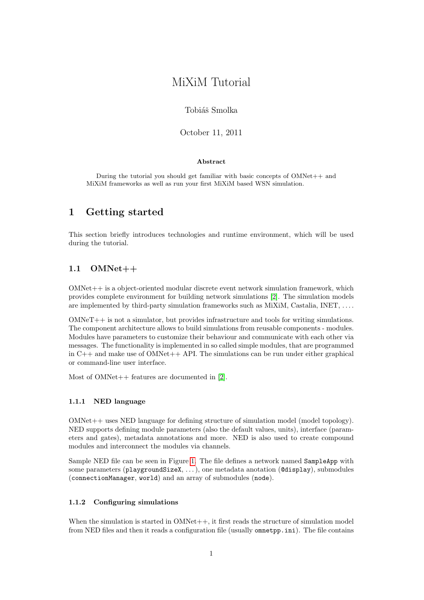# MiXiM Tutorial

### Tobiáš Smolka

October 11, 2011

#### Abstract

During the tutorial you should get familiar with basic concepts of OMNet++ and MiXiM frameworks as well as run your first MiXiM based WSN simulation.

# 1 Getting started

This section briefly introduces technologies and runtime environment, which will be used during the tutorial.

# 1.1 OMNet++

OMNet++ is a object-oriented modular discrete event network simulation framework, which provides complete environment for building network simulations [\[2\]](#page-7-0). The simulation models are implemented by third-party simulation frameworks such as MiXiM, Castalia, INET, . . . .

OMNeT++ is not a simulator, but provides infrastructure and tools for writing simulations. The component architecture allows to build simulations from reusable components - modules. Modules have parameters to customize their behaviour and communicate with each other via messages. The functionality is implemented in so called simple modules, that are programmed in C++ and make use of OMNet++ API. The simulations can be run under either graphical or command-line user interface.

Most of OMNet++ features are documented in [\[2\]](#page-7-0).

#### 1.1.1 NED language

OMNet++ uses NED language for defining structure of simulation model (model topology). NED supports defining module parameters (also the default values, units), interface (parameters and gates), metadata annotations and more. NED is also used to create compound modules and interconnect the modules via channels.

Sample NED file can be seen in Figure [1.](#page-1-0) The file defines a network named SampleApp with some parameters (playgroundSizeX, . . . ), one metadata anotation (@display), submodules (connectionManager, world) and an array of submodules (node).

#### 1.1.2 Configuring simulations

When the simulation is started in  $OMNet++$ , it first reads the structure of simulation model from NED files and then it reads a configuration file (usually omnetpp.ini). The file contains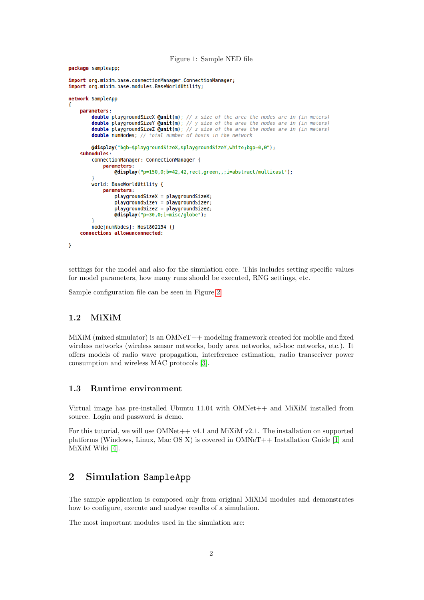<span id="page-1-0"></span>Figure 1: Sample NED file

package sampleapp;

```
import org.mixim.base.connectionManager.ConnectionManager;
import org.mixim.base.modules.BaseWorldUtility;
network SampleApp
4
    parameters:
         double playgroundSizeX @unit(m); // x size of the area the nodes are in (in meters) double playgroundSizeY @unit(m); // y size of the area the nodes are in (in meters)
         double playgroundsized Qunit(m); // z size of the area the nodes are in (in meters)
         double numNodes; // total number of hosts in the network
         @display("bgb=$playgroundSizeX,$playgroundSizeY,white;bgp=0,0");
    submodules
         connectionManager: ConnectionManager {
              parameters:
                   @display("p=150,0;b=42,42, rect, green, , ; i=abstract/multicast");
         world: BaseWorldUtility {
              parameters:
                  playgroundSizeX = playgroundSizeX;
                   playgroundSizeY = playgroundSizeY;playgroundSizeZ = playgroundSizeZ;
                   \texttt{Adisplay("p=30,0; i=miss/globe");}node[numNodes]: Host802154 {}
    connections allowunconnected:
\left.\rule{0pt}{10pt}\right.
```
settings for the model and also for the simulation core. This includes setting specific values for model parameters, how many runs should be executed, RNG settings, etc.

Sample configuration file can be seen in Figure [2.](#page-2-0)

#### 1.2 MiXiM

MiXiM (mixed simulator) is an OMNeT++ modeling framework created for mobile and fixed wireless networks (wireless sensor networks, body area networks, ad-hoc networks, etc.). It offers models of radio wave propagation, interference estimation, radio transceiver power consumption and wireless MAC protocols [\[3\]](#page-7-1).

### 1.3 Runtime environment

Virtual image has pre-installed Ubuntu 11.04 with OMNet++ and MiXiM installed from source. Login and password is demo.

For this tutorial, we will use  $OMNet+ + v4.1$  and  $MixiM v2.1$ . The installation on supported platforms (Windows, Linux, Mac OS X) is covered in OMNeT++ Installation Guide [\[1\]](#page-7-2) and MiXiM Wiki [\[4\]](#page-7-3).

# 2 Simulation SampleApp

The sample application is composed only from original MiXiM modules and demonstrates how to configure, execute and analyse results of a simulation.

The most important modules used in the simulation are: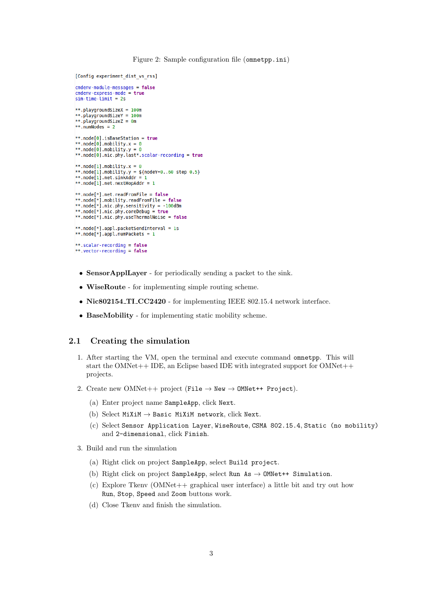<span id="page-2-0"></span>Figure 2: Sample configuration file (omnetpp.ini)

```
[Config experiment dist vs rss]
cmdenv-module-messages = false
cmdenv-express-mode = true<br>sim-time-limit = 2s**.playgroundSizeX = 100m
**.playgroundSizeY = 100m
**.playgroundSizeZ = 0m
**.numNodes = 2**.node[0].isBaseStation = true
**.node[0].mobility.x = 0
**.node[0].mobility.y = 0
**.node[0].nic.phy.last*.scalar-recording = true
**.node[1].mobility.x = 0
**.node[1].mobility.y = ${nodeY=0..60 step 0.5}<br>**.node[1].mobility.y = ${nodeY=0..60 step 0.5}
**.node[1].net.nextHopAddr = 1
**.node[*].net.readFromFile = false
**.node[*].mobility.readFromFile = false
**.node[*].nic.phy.sensitivity = -100dBm<br>**.node[*].nic.phy.sensitivity = -100dBm
**.node[*].nic.phy.useThermalNoise = false
**.node[*].appl.packetSendInterval = 1s
**.node[*].appl.numPackets = 1**.scalar-recording = false
**.vector-recording = false
```
- SensorApplLayer for periodically sending a packet to the sink.
- WiseRoute for implementing simple routing scheme.
- Nic802154\_TI\_CC2420 for implementing IEEE 802.15.4 network interface.
- BaseMobility for implementing static mobility scheme.

#### 2.1 Creating the simulation

- 1. After starting the VM, open the terminal and execute command omnetpp. This will start the OMNet++ IDE, an Eclipse based IDE with integrated support for OMNet++ projects.
- 2. Create new OMNet++ project (File  $\rightarrow$  New  $\rightarrow$  OMNet++ Project).
	- (a) Enter project name SampleApp, click Next.
	- (b) Select MiXiM  $\rightarrow$  Basic MiXiM network, click Next.
	- (c) Select Sensor Application Layer, WiseRoute, CSMA 802.15.4, Static (no mobility) and 2-dimensional, click Finish.
- 3. Build and run the simulation
	- (a) Right click on project SampleApp, select Build project.
	- (b) Right click on project SampleApp, select Run As  $\rightarrow$  OMNet++ Simulation.
	- (c) Explore Tkenv (OMNet++ graphical user interface) a little bit and try out how Run, Stop, Speed and Zoom buttons work.
	- (d) Close Tkenv and finish the simulation.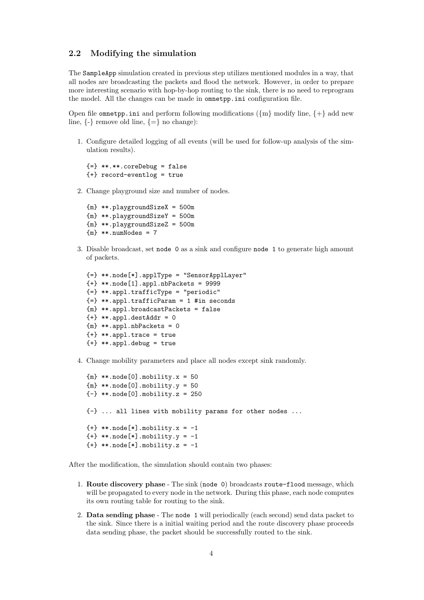## 2.2 Modifying the simulation

The SampleApp simulation created in previous step utilizes mentioned modules in a way, that all nodes are broadcasting the packets and flood the network. However, in order to prepare more interesting scenario with hop-by-hop routing to the sink, there is no need to reprogram the model. All the changes can be made in omnetpp.ini configuration file.

Open file omnetpp.ini and perform following modifications ( $\{\text{m}\}\$  modify line,  $\{+\}$  add new line,  $\{-\}$  remove old line,  $\{=\}$  no change):

1. Configure detailed logging of all events (will be used for follow-up analysis of the simulation results).

```
{=} **.**.coreDebug = false
{+} record-eventlog = true
```
2. Change playground size and number of nodes.

{m} \*\*.playgroundSizeX = 500m {m} \*\*.playgroundSizeY = 500m {m} \*\*.playgroundSizeZ = 500m  ${m}$  \*\*.numNodes = 7

3. Disable broadcast, set node 0 as a sink and configure node 1 to generate high amount of packets.

```
{=} **.node[*].applType = "SensorApplLayer"
{+} **.node[1].appl.nbPackets = 9999
{=} **.appl.trafficType = "periodic"
{=} **.appl.trafficParam = 1 #in seconds
{m} **.appl.broadcastPackets = false
{+} **.appl.destAddr = 0
{m} **.appl.nbPackets = 0
{+} **.appl.trace = true
{+} **.appl.debug = true
```
4. Change mobility parameters and place all nodes except sink randomly.

```
{m} **.node[0].mobility.x = 50
{m} **.node[0].mobility.y = 50
{-} **.node[0].mobility.z = 250
{-} ... all lines with mobility params for other nodes ...
{+} **.node[*].mobility.x = -1
{+} **.node[*].mobility.y = -1
{+} **.node[*].mobility.z = -1
```
After the modification, the simulation should contain two phases:

- 1. Route discovery phase The sink (node 0) broadcasts route-flood message, which will be propagated to every node in the network. During this phase, each node computes its own routing table for routing to the sink.
- 2. Data sending phase The node 1 will periodically (each second) send data packet to the sink. Since there is a initial waiting period and the route discovery phase proceeds data sending phase, the packet should be successfully routed to the sink.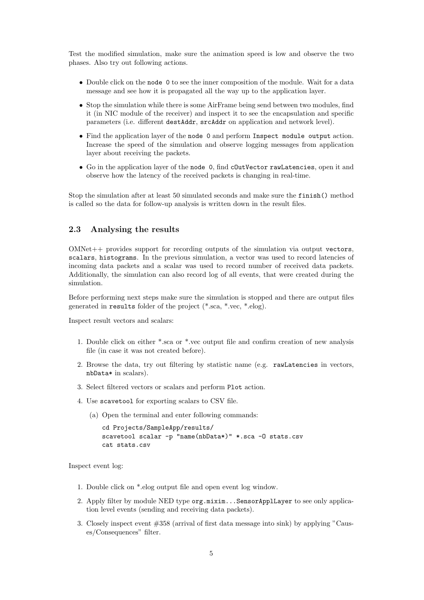Test the modified simulation, make sure the animation speed is low and observe the two phases. Also try out following actions.

- Double click on the node 0 to see the inner composition of the module. Wait for a data message and see how it is propagated all the way up to the application layer.
- Stop the simulation while there is some AirFrame being send between two modules, find it (in NIC module of the receiver) and inspect it to see the encapsulation and specific parameters (i.e. different destAddr, srcAddr on application and network level).
- Find the application layer of the node 0 and perform Inspect module output action. Increase the speed of the simulation and observe logging messages from application layer about receiving the packets.
- Go in the application layer of the node 0, find cOutVector rawLatencies, open it and observe how the latency of the received packets is changing in real-time.

Stop the simulation after at least 50 simulated seconds and make sure the finish() method is called so the data for follow-up analysis is written down in the result files.

# 2.3 Analysing the results

OMNet++ provides support for recording outputs of the simulation via output vectors, scalars, histograms. In the previous simulation, a vector was used to record latencies of incoming data packets and a scalar was used to record number of received data packets. Additionally, the simulation can also record log of all events, that were created during the simulation.

Before performing next steps make sure the simulation is stopped and there are output files generated in results folder of the project (\*.sca, \*.vec, \*.elog).

Inspect result vectors and scalars:

- 1. Double click on either \*.sca or \*.vec output file and confirm creation of new analysis file (in case it was not created before).
- 2. Browse the data, try out filtering by statistic name (e.g. rawLatencies in vectors, nbData\* in scalars).
- 3. Select filtered vectors or scalars and perform Plot action.
- 4. Use scavetool for exporting scalars to CSV file.
	- (a) Open the terminal and enter following commands:

```
cd Projects/SampleApp/results/
scavetool scalar -p "name(nbData*)" *.sca -0 stats.csv
cat stats.csv
```
Inspect event log:

- 1. Double click on \*.elog output file and open event log window.
- 2. Apply filter by module NED type org.mixim...SensorApplLayer to see only application level events (sending and receiving data packets).
- 3. Closely inspect event #358 (arrival of first data message into sink) by applying "Causes/Consequences" filter.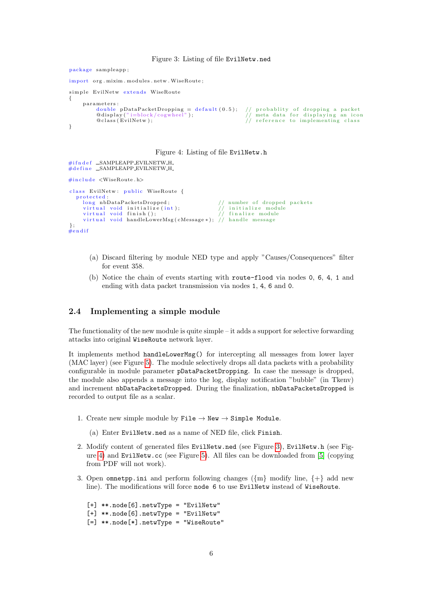Figure 3: Listing of file EvilNetw.ned

package sampleapp;

```
import org.mixim.modules.netw.WiseRoute;
simple EvilNetw extends WiseRoute
{
          parameters:
                      double pDataPacketDropping = default(0.5); // probablity of dropping a packet<br>@display("i=block/cogwheel");       // meta data for displaying an icon
                     \begin{array}{c} \text{SUSL} \text{OCS} \text{OCS} \text{OCS} \text{OCS} \text{OCS} \text{OCS} \text{OCS} \text{OCS} \text{OCS} \text{OCS} \text{OCS} \text{OCS} \text{OCS} \text{OCS} \text{OCS} \text{OCS} \text{OCS} \text{OCS} \text{OCS} \text{OCS} \text{OCS} \text{OCS} \text{OCS} \text{OCS} \text{OCS} \text{OCS} \text{OCS} \text{OCS} \text{OCS} \text{OCS} \text{OCS} \text{OCS} \text{OCS} \text{OCS} \text}
```
Figure 4: Listing of file EvilNetw.h

```
\#ifndef _SAMPLEAPP_EVILNETW_H_
#11HQC1 ESAMPLEAPP_EVILNETW_H_
#include \langle WiseRoute.h>
class EvilNetw: public WiseRoute {
   protected:<br>long nbDataPacketsDropped:
                                                                                \frac{1}{2} number of dropped packets
        v i r t u a l v o id i n i t i a l i z e ( i n t ) ; // i n i t i a l i z e module
v i r t u a l v o id f i n i s h ( ) ; // f i n a l i z e module
v i r t u a l v o id handleLowerMsg ( cMessage ∗ ) ; // h and l e message
} ;
#e n d i f
```
- <span id="page-5-1"></span>(a) Discard filtering by module NED type and apply "Causes/Consequences" filter for event 358.
- (b) Notice the chain of events starting with route-flood via nodes 0, 6, 4, 1 and ending with data packet transmission via nodes 1, 4, 6 and 0.

#### 2.4 Implementing a simple module

The functionality of the new module is quite simple – it adds a support for selective forwarding attacks into original WiseRoute network layer.

It implements method handleLowerMsg() for intercepting all messages from lower layer (MAC layer) (see Figure [5\)](#page-6-0). The module selectively drops all data packets with a probability configurable in module parameter pDataPacketDropping. In case the message is dropped, the module also appends a message into the log, display notification "bubble" (in Tkenv) and increment nbDataPacketsDropped. During the finalization, nbDataPacketsDropped is recorded to output file as a scalar.

- 1. Create new simple module by File  $\rightarrow$  New  $\rightarrow$  Simple Module.
	- (a) Enter EvilNetw.ned as a name of NED file, click Finish.
- 2. Modify content of generated files EvilNetw.ned (see Figure [3\)](#page-5-0), EvilNetw.h (see Figure [4\)](#page-5-1) and EvilNetw.cc (see Figure [5\)](#page-6-0). All files can be downloaded from [\[5\]](#page-7-4) (copying from PDF will not work).
- 3. Open omnetpp.ini and perform following changes ( $\{m\}$  modify line,  $\{+\}$  add new line). The modifications will force node 6 to use EvilNetw instead of WiseRoute.
	- [+] \*\*.node[6].netwType = "EvilNetw" [+] \*\*.node[6].netwType = "EvilNetw" [=] \*\*.node[\*].netwType = "WiseRoute"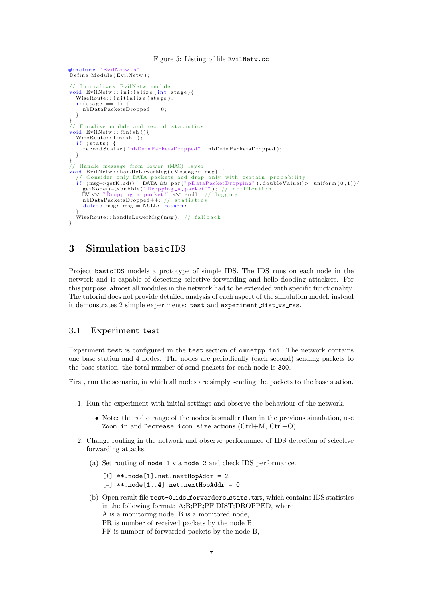#### Figure 5: Listing of file EvilNetw.cc

```
\#include "EvilNetw.h"
Define_Module (EvilNetw);
// Initializes EvilNetw module
\overline{void} EvilNetw :: initialize (int stage){
   WiseRoute :: initialize (stage);
   if (stage == 1)nbDataPacketsDropped = 0;}
}
\frac{1}{\sqrt{2}} Finalize module and record statistics
\text{void} EvilNetw :: finish (){
   WiseRoute :: finish();
   if (stats)
     recordScalar ("nbDataPacketsDropped", nbDataPacketsDropped);
  }
}
// Handle message from lower (MAC) layer
void EvilNetw::handleLowerMsg(cMessage* msg) {<br>// Consider only DATA packets and drop only with certain probability
   if (msg->getKind()==DATA && par("pDataPacketDropping").doubleValue()>=uniform(0,1)){<br>getNode()->bubble("Dropping_a_packet!"); // notification<br>EV << "Dropping_a_packet!" << endl; // logging
      nbDataPacketsDropped++; // statistics<br>delete msg; msg = NULL; return;
   }
   \rm\dot{W}iseRoute : : handleLowerMsg(msg); // fallback
}
```
# <span id="page-6-0"></span>3 Simulation basicIDS

Project basicIDS models a prototype of simple IDS. The IDS runs on each node in the network and is capable of detecting selective forwarding and hello flooding attackers. For this purpose, almost all modules in the network had to be extended with specific functionality. The tutorial does not provide detailed analysis of each aspect of the simulation model, instead it demonstrates 2 simple experiments: test and experiment\_dist\_vs\_rss.

### 3.1 Experiment test

Experiment test is configured in the test section of omnetpp.ini. The network contains one base station and 4 nodes. The nodes are periodically (each second) sending packets to the base station, the total number of send packets for each node is 300.

First, run the scenario, in which all nodes are simply sending the packets to the base station.

- 1. Run the experiment with initial settings and observe the behaviour of the network.
	- Note: the radio range of the nodes is smaller than in the previous simulation, use Zoom in and Decrease icon size actions (Ctrl+M, Ctrl+O).
- 2. Change routing in the network and observe performance of IDS detection of selective forwarding attacks.
	- (a) Set routing of node 1 via node 2 and check IDS performance.
		- $\lceil + \rceil$  \*\*.node $\lceil 1 \rceil$ .net.nextHopAddr = 2
		- $[-]$  \*\*.node $[1..4]$ .net.nextHopAddr = 0
	- (b) Open result file test-0 ids forwarders stats.txt, which contains IDS statistics in the following format: A;B;PR;PF;DIST;DROPPED, where A is a monitoring node, B is a monitored node, PR is number of received packets by the node B, PF is number of forwarded packets by the node B,